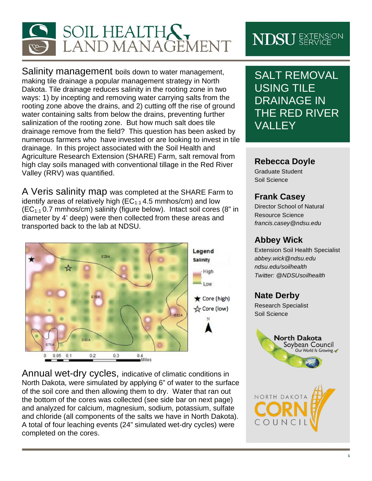

Salinity management boils down to water management, making tile drainage a popular management strategy in North Dakota. Tile drainage reduces salinity in the rooting zone in two ways: 1) by incepting and removing water carrying salts from the rooting zone above the drains, and 2) cutting off the rise of ground water containing salts from below the drains, preventing further salinization of the rooting zone. But how much salt does tile drainage remove from the field? This question has been asked by numerous farmers who have invested or are looking to invest in tile drainage. In this project associated with the Soil Health and Agriculture Research Extension (SHARE) Farm, salt removal from high clay soils managed with conventional tillage in the Red River Valley (RRV) was quantified.

A Veris salinity map was completed at the SHARE Farm to identify areas of relatively high ( $EC_{1:1}$  4.5 mmhos/cm) and low  $(EC_{1:1}$  0.7 mmhos/cm) salinity (figure below). Intact soil cores (8" in diameter by 4' deep) were then collected from these areas and transported back to the lab at NDSU.



Annual wet-dry cycles, indicative of climatic conditions in North Dakota, were simulated by applying 6" of water to the surface of the soil core and then allowing them to dry. Water that ran out the bottom of the cores was collected (see side bar on next page) and analyzed for calcium, magnesium, sodium, potassium, sulfate and chloride (all components of the salts we have in North Dakota). A total of four leaching events (24" simulated wet-dry cycles) were completed on the cores.

# **NDSU** EXTENSION

SALT REMOVAL USING TILE DRAINAGE IN THE RED RIVER VALLEY

#### **Rebecca Doyle**

Graduate Student Soil Science

#### **Frank Casey**

Director School of Natural Resource Science *francis.casey@ndsu.edu*

#### **Abbey Wick**

Extension Soil Health Specialist *abbey.wick@ndsu.edu ndsu.edu/soilhealth Twitter: @NDSUsoilhealth*

### **Nate Derby**

Research Specialist Soil Science